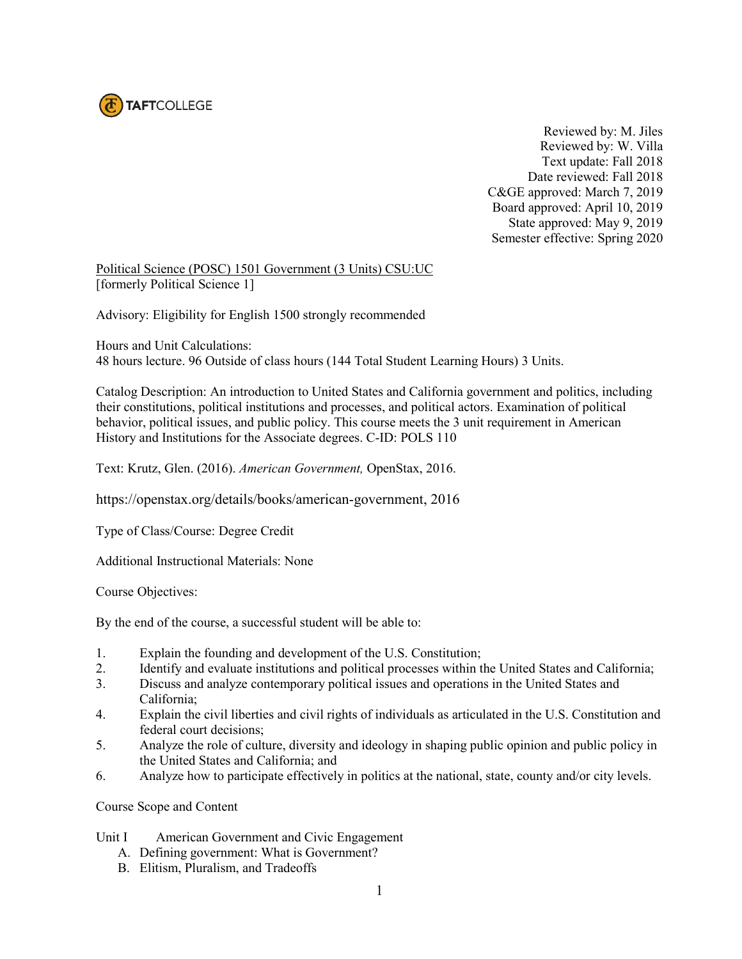

 Reviewed by: M. Jiles Reviewed by: W. Villa Text update: Fall 2018 Date reviewed: Fall 2018 C&GE approved: March 7, 2019 Board approved: April 10, 2019 State approved: May 9, 2019 Semester effective: Spring 2020

Political Science (POSC) 1501 Government (3 Units) CSU:UC [formerly Political Science 1]

Advisory: Eligibility for English 1500 strongly recommended

Hours and Unit Calculations: 48 hours lecture. 96 Outside of class hours (144 Total Student Learning Hours) 3 Units.

Catalog Description: An introduction to United States and California government and politics, including their constitutions, political institutions and processes, and political actors. Examination of political behavior, political issues, and public policy. This course meets the 3 unit requirement in American History and Institutions for the Associate degrees. C-ID: POLS 110

Text: Krutz, Glen. (2016). *American Government,* OpenStax, 2016.

https://openstax.org/details/books/american-government, 2016

Type of Class/Course: Degree Credit

Additional Instructional Materials: None

Course Objectives:

By the end of the course, a successful student will be able to:

- 1. Explain the founding and development of the U.S. Constitution;
- 2. Identify and evaluate institutions and political processes within the United States and California;
- 3. Discuss and analyze contemporary political issues and operations in the United States and California;
- 4. Explain the civil liberties and civil rights of individuals as articulated in the U.S. Constitution and federal court decisions;
- 5. Analyze the role of culture, diversity and ideology in shaping public opinion and public policy in the United States and California; and
- 6. Analyze how to participate effectively in politics at the national, state, county and/or city levels.

Course Scope and Content

- Unit I American Government and Civic Engagement
	- A. Defining government: What is Government?
	- B. Elitism, Pluralism, and Tradeoffs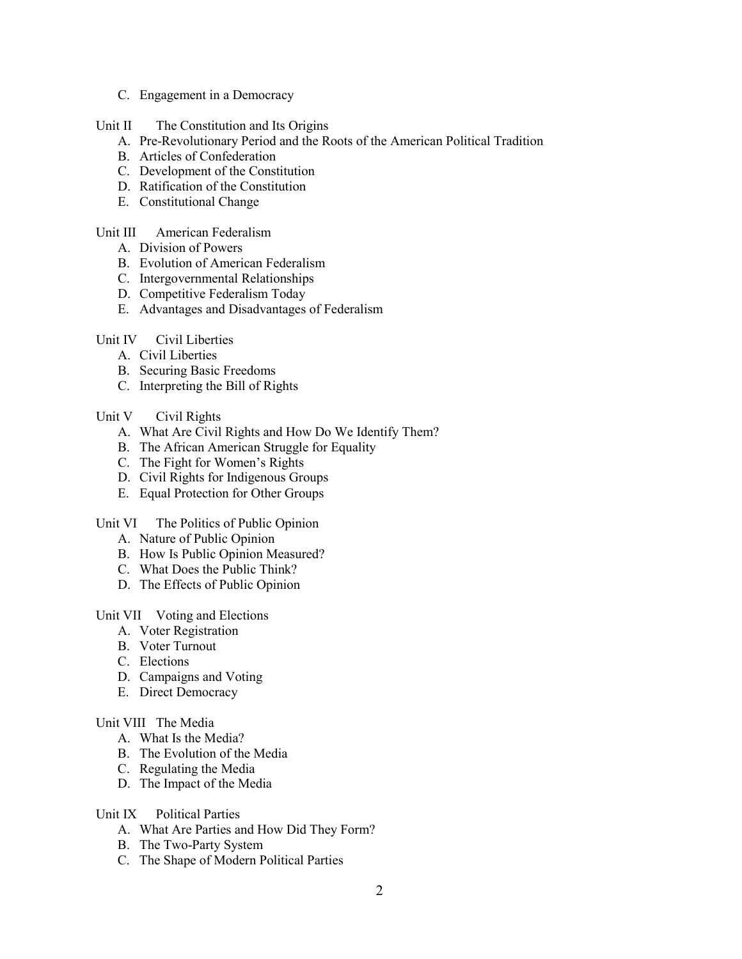C. Engagement in a Democracy

# Unit II The Constitution and Its Origins

- A. Pre-Revolutionary Period and the Roots of the American Political Tradition
- B. Articles of Confederation
- C. Development of the Constitution
- D. Ratification of the Constitution
- E. Constitutional Change

# Unit III American Federalism

- A. Division of Powers
- B. Evolution of American Federalism
- C. Intergovernmental Relationships
- D. Competitive Federalism Today
- E. Advantages and Disadvantages of Federalism

### Unit IV Civil Liberties

- A. Civil Liberties
- B. Securing Basic Freedoms
- C. Interpreting the Bill of Rights

### Unit V Civil Rights

- A. What Are Civil Rights and How Do We Identify Them?
- B. The African American Struggle for Equality
- C. The Fight for Women's Rights
- D. Civil Rights for Indigenous Groups
- E. Equal Protection for Other Groups

#### Unit VI The Politics of Public Opinion

- A. Nature of Public Opinion
- B. How Is Public Opinion Measured?
- C. What Does the Public Think?
- D. The Effects of Public Opinion

# Unit VII Voting and Elections

- A. Voter Registration
- B. Voter Turnout
- C. Elections
- D. Campaigns and Voting
- E. Direct Democracy

# Unit VIII The Media

- A. What Is the Media?
- B. The Evolution of the Media
- C. Regulating the Media
- D. The Impact of the Media

### Unit IX Political Parties

- A. What Are Parties and How Did They Form?
- B. The Two-Party System
- C. The Shape of Modern Political Parties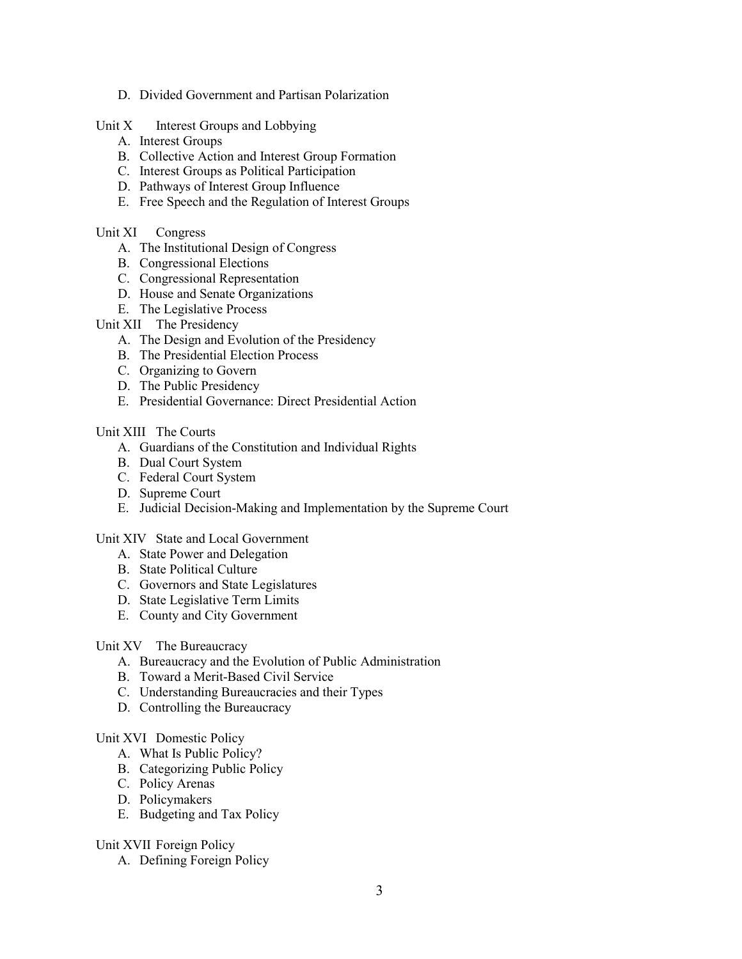- D. Divided Government and Partisan Polarization
- Unit  $X$  Interest Groups and Lobbying
	- A. Interest Groups
	- B. Collective Action and Interest Group Formation
	- C. Interest Groups as Political Participation
	- D. Pathways of Interest Group Influence
	- E. Free Speech and the Regulation of Interest Groups

### Unit XI Congress

- A. The Institutional Design of Congress
- B. Congressional Elections
- C. Congressional Representation
- D. House and Senate Organizations
- E. The Legislative Process

# Unit XII The Presidency

- A. The Design and Evolution of the Presidency
- B. The Presidential Election Process
- C. Organizing to Govern
- D. The Public Presidency
- E. Presidential Governance: Direct Presidential Action

### Unit XIII The Courts

- A. Guardians of the Constitution and Individual Rights
- B. Dual Court System
- C. Federal Court System
- D. Supreme Court
- E. Judicial Decision-Making and Implementation by the Supreme Court

#### Unit XIV State and Local Government

- A. State Power and Delegation
- B. State Political Culture
- C. Governors and State Legislatures
- D. State Legislative Term Limits
- E. County and City Government

#### Unit XV The Bureaucracy

- A. Bureaucracy and the Evolution of Public Administration
- B. Toward a Merit-Based Civil Service
- C. Understanding Bureaucracies and their Types
- D. Controlling the Bureaucracy

#### Unit XVI Domestic Policy

- A. What Is Public Policy?
- B. Categorizing Public Policy
- C. Policy Arenas
- D. Policymakers
- E. Budgeting and Tax Policy

#### Unit XVII Foreign Policy

A. Defining Foreign Policy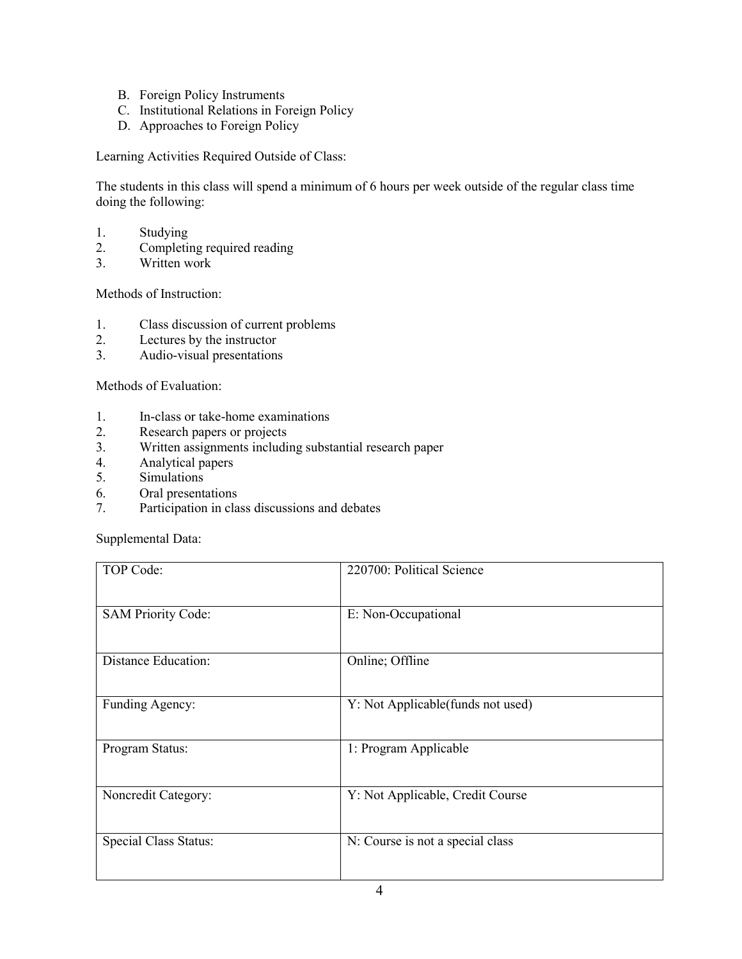- B. Foreign Policy Instruments
- C. Institutional Relations in Foreign Policy
- D. Approaches to Foreign Policy

Learning Activities Required Outside of Class:

The students in this class will spend a minimum of 6 hours per week outside of the regular class time doing the following:

- 1. Studying<br>2. Completii
- 2. Completing required reading
- 3. Written work

Methods of Instruction:

- 1. Class discussion of current problems
- 2. Lectures by the instructor
- 3. Audio-visual presentations

Methods of Evaluation:

- 1. In-class or take-home examinations
- 2. Research papers or projects<br>3. Written assignments includi
- 3. Written assignments including substantial research paper
- 4. Analytical papers
- 5. Simulations
- 6. Oral presentations
- 7. Participation in class discussions and debates

Supplemental Data:

| TOP Code:                    | 220700: Political Science         |
|------------------------------|-----------------------------------|
| <b>SAM Priority Code:</b>    | E: Non-Occupational               |
| <b>Distance Education:</b>   | Online; Offline                   |
| Funding Agency:              | Y: Not Applicable(funds not used) |
| Program Status:              | 1: Program Applicable             |
| Noncredit Category:          | Y: Not Applicable, Credit Course  |
| <b>Special Class Status:</b> | N: Course is not a special class  |